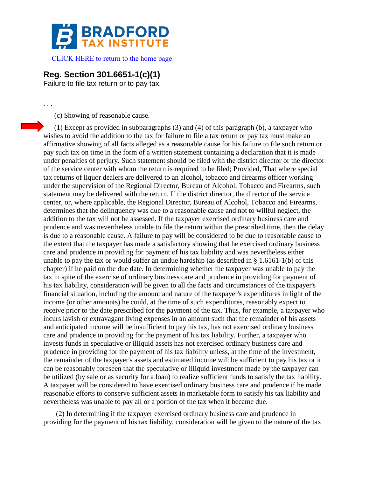

[CLICK HERE to return to the home page](http://bradfordtaxinstitute.com/index1.aspx) 

## **Reg. Section 301.6651-1(c)(1)**

Failure to file tax return or to pay tax.

. . .

(c) Showing of reasonable cause.

(1) Except as provided in subparagraphs (3) and (4) of this paragraph (b), a taxpayer who wishes to avoid the addition to the tax for failure to file a tax return or pay tax must make an affirmative showing of all facts alleged as a reasonable cause for his failure to file such return or pay such tax on time in the form of a written statement containing a declaration that it is made under penalties of perjury. Such statement should be filed with the district director or the director of the service center with whom the return is required to be filed; Provided, That where special tax returns of liquor dealers are delivered to an alcohol, tobacco and firearms officer working under the supervision of the Regional Director, Bureau of Alcohol, Tobacco and Firearms, such statement may be delivered with the return. If the district director, the director of the service center, or, where applicable, the Regional Director, Bureau of Alcohol, Tobacco and Firearms, determines that the delinquency was due to a reasonable cause and not to willful neglect, the addition to the tax will not be assessed. If the taxpayer exercised ordinary business care and prudence and was nevertheless unable to file the return within the prescribed time, then the delay is due to a reasonable cause. A failure to pay will be considered to be due to reasonable cause to the extent that the taxpayer has made a satisfactory showing that he exercised ordinary business care and prudence in providing for payment of his tax liability and was nevertheless either unable to pay the tax or would suffer an undue hardship (as described in § 1.6161-1(b) of this chapter) if he paid on the due date. In determining whether the taxpayer was unable to pay the tax in spite of the exercise of ordinary business care and prudence in providing for payment of his tax liability, consideration will be given to all the facts and circumstances of the taxpayer's financial situation, including the amount and nature of the taxpayer's expenditures in light of the income (or other amounts) he could, at the time of such expenditures, reasonably expect to receive prior to the date prescribed for the payment of the tax. Thus, for example, a taxpayer who incurs lavish or extravagant living expenses in an amount such that the remainder of his assets and anticipated income will be insufficient to pay his tax, has not exercised ordinary business care and prudence in providing for the payment of his tax liability. Further, a taxpayer who invests funds in speculative or illiquid assets has not exercised ordinary business care and prudence in providing for the payment of his tax liability unless, at the time of the investment, the remainder of the taxpayer's assets and estimated income will be sufficient to pay his tax or it can be reasonably foreseen that the speculative or illiquid investment made by the taxpayer can be utilized (by sale or as security for a loan) to realize sufficient funds to satisfy the tax liability. A taxpayer will be considered to have exercised ordinary business care and prudence if he made reasonable efforts to conserve sufficient assets in marketable form to satisfy his tax liability and nevertheless was unable to pay all or a portion of the tax when it became due.

(2) In determining if the taxpayer exercised ordinary business care and prudence in providing for the payment of his tax liability, consideration will be given to the nature of the tax